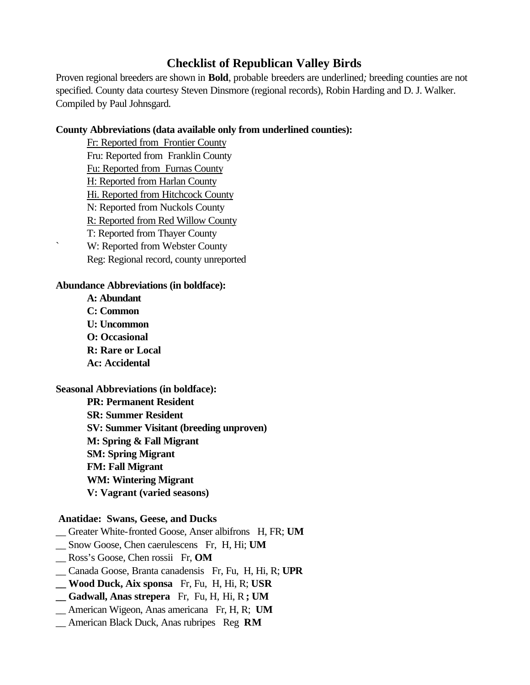# **Checklist of Republican Valley Birds**

Proven regional breeders are shown in **Bold**, probable breeders are underlined*;* breeding counties are not specified. County data courtesy Steven Dinsmore (regional records), Robin Harding and D. J. Walker. Compiled by Paul Johnsgard.

### **County Abbreviations (data available only from underlined counties):**

Fr: Reported from Frontier County Fru: Reported from Franklin County Fu: Reported from Furnas County H: Reported from Harlan County Hi. Reported from Hitchcock County N: Reported from Nuckols County R: Reported from Red Willow County T: Reported from Thayer County ` W: Reported from Webster County Reg: Regional record, county unreported

## **Abundance Abbreviations (in boldface):**

**A: Abundant C: Common U: Uncommon O: Occasional R: Rare or Local Ac: Accidental**

**Seasonal Abbreviations (in boldface):**

**PR: Permanent Resident SR: Summer Resident SV: Summer Visitant (breeding unproven) M: Spring & Fall Migrant SM: Spring Migrant FM: Fall Migrant WM: Wintering Migrant V: Vagrant (varied seasons)**

## **Anatidae: Swans, Geese, and Ducks**

- \_\_ Greater White-fronted Goose, Anser albifrons H, FR; **UM**
- \_\_ Snow Goose, Chen caerulescens Fr, H, Hi; **UM**
- \_\_ Ross's Goose, Chen rossii Fr, **OM**
- \_\_ Canada Goose, Branta canadensis Fr, Fu, H, Hi, R; **UPR**
- **\_\_ Wood Duck, Aix sponsa** Fr, Fu, H, Hi, R; **USR**
- **\_\_ Gadwall, Anas strepera** Fr, Fu, H, Hi, R **; UM**
- \_\_ American Wigeon, Anas americana Fr, H, R; **UM**
- \_\_ American Black Duck, Anas rubripes Reg **RM**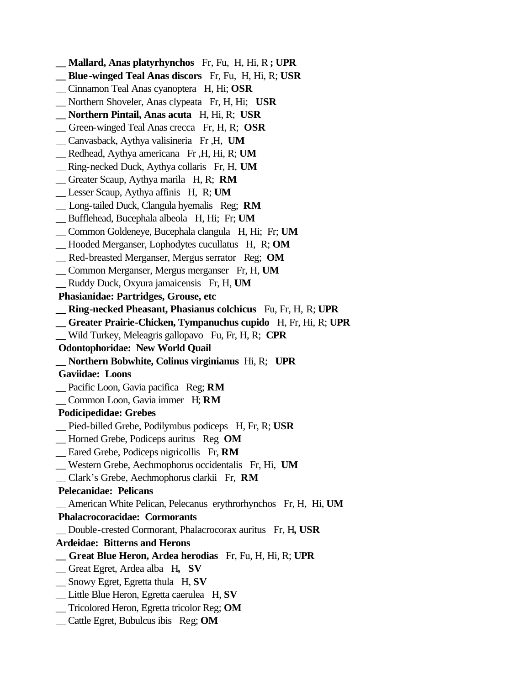- **\_\_ Mallard, Anas platyrhynchos** Fr, Fu, H, Hi, R **; UPR**
- **\_\_ Blue-winged Teal Anas discors** Fr, Fu, H, Hi, R; **USR**
- \_\_ Cinnamon Teal Anas cyanoptera H, Hi; **OSR**
- \_\_ Northern Shoveler, Anas clypeata Fr, H, Hi; **USR**
- **\_\_ Northern Pintail, Anas acuta** H, Hi, R; **USR**
- \_\_ Green-winged Teal Anas crecca Fr, H, R; **OSR**
- \_\_ Canvasback, Aythya valisineria Fr ,H, **UM**
- \_\_ Redhead, Aythya americana Fr ,H, Hi, R; **UM**
- \_\_ Ring-necked Duck, Aythya collaris Fr, H, **UM**
- \_\_ Greater Scaup, Aythya marila H, R; **RM**
- \_\_ Lesser Scaup, Aythya affinis H, R; **UM**
- \_\_ Long-tailed Duck, Clangula hyemalis Reg; **RM**
- \_\_ Bufflehead, Bucephala albeola H, Hi; Fr; **UM**
- \_\_ Common Goldeneye, Bucephala clangula H, Hi; Fr; **UM**
- \_\_ Hooded Merganser, Lophodytes cucullatus H, R; **OM**
- \_\_ Red-breasted Merganser, Mergus serrator Reg; **OM**
- \_\_ Common Merganser, Mergus merganser Fr, H, **UM**
- \_\_ Ruddy Duck, Oxyura jamaicensis Fr, H, **UM**
- **Phasianidae: Partridges, Grouse, etc**
- **\_\_ Ring-necked Pheasant, Phasianus colchicus** Fu, Fr, H, R; **UPR**
- **\_\_ Greater Prairie-Chicken, Tympanuchus cupido** H, Fr, Hi, R; **UPR**
- \_\_ Wild Turkey, Meleagris gallopavo Fu, Fr, H, R; **CPR**
- **Odontophoridae: New World Quail**
- **\_\_ Northern Bobwhite, Colinus virginianus** Hi, R; **UPR**
- **Gaviidae: Loons**
- \_\_ Pacific Loon, Gavia pacifica Reg; **RM**
- \_\_ Common Loon, Gavia immer H; **RM**

#### **Podicipedidae: Grebes**

- \_\_ Pied-billed Grebe, Podilymbus podiceps H, Fr, R; **USR**
- \_\_ Horned Grebe, Podiceps auritus Reg **OM**
- \_\_ Eared Grebe, Podiceps nigricollis Fr, **RM**
- \_\_ Western Grebe, Aechmophorus occidentalis Fr, Hi, **UM**
- \_\_ Clark's Grebe, Aechmophorus clarkii Fr, **RM**

#### **Pelecanidae: Pelicans**

\_\_ American White Pelican, Pelecanus erythrorhynchos Fr, H, Hi, **UM**

#### **Phalacrocoracidae: Cormorants**

- \_\_ Double-crested Cormorant, Phalacrocorax auritus Fr, H**, USR**
- **Ardeidae: Bitterns and Herons**
- **\_\_ Great Blue Heron, Ardea herodias** Fr, Fu, H, Hi, R; **UPR**
- \_\_ Great Egret, Ardea alba H**, SV**
- \_\_ Snowy Egret, Egretta thula H, **SV**
- \_\_ Little Blue Heron, Egretta caerulea H, **SV**
- \_\_ Tricolored Heron, Egretta tricolor Reg; **OM**
- \_\_ Cattle Egret, Bubulcus ibis Reg; **OM**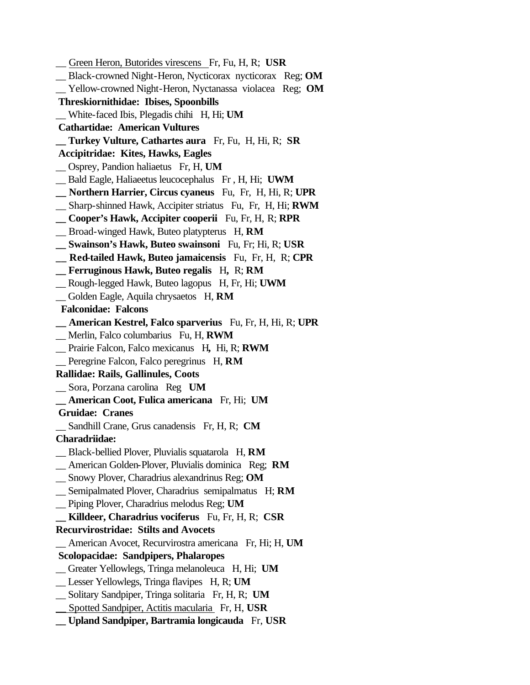*\_\_* Green Heron, Butorides virescens Fr, Fu, H, R; **USR** \_\_ Black-crowned Night-Heron, Nycticorax nycticorax Reg; **OM** \_\_ Yellow-crowned Night-Heron, Nyctanassa violacea Reg; **OM Threskiornithidae: Ibises, Spoonbills** \_\_ White-faced Ibis, Plegadis chihi H, Hi; **UM Cathartidae: American Vultures \_\_ Turkey Vulture, Cathartes aura** Fr, Fu, H, Hi, R; **SR Accipitridae: Kites, Hawks, Eagles** \_\_ Osprey, Pandion haliaetus Fr, H, **UM** \_\_ Bald Eagle, Haliaeetus leucocephalus Fr , H, Hi; **UWM \_\_ Northern Harrier, Circus cyaneus** Fu, Fr, H, Hi, R; **UPR** \_\_ Sharp-shinned Hawk, Accipiter striatus Fu, Fr, H, Hi; **RWM \_\_ Cooper's Hawk, Accipiter cooperii** Fu, Fr, H, R; **RPR** \_\_ Broad-winged Hawk, Buteo platypterus H, **RM \_\_ Swainson's Hawk, Buteo swainsoni** Fu, Fr; Hi, R; **USR \_\_ Red-tailed Hawk, Buteo jamaicensis** Fu, Fr, H, R; **CPR \_\_ Ferruginous Hawk, Buteo regalis** H**,** R; **RM** \_\_ Rough-legged Hawk, Buteo lagopus H, Fr, Hi; **UWM** \_\_ Golden Eagle, Aquila chrysaetos H, **RM Falconidae: Falcons \_\_ American Kestrel, Falco sparverius** Fu, Fr, H, Hi, R; **UPR** \_\_ Merlin, Falco columbarius Fu, H, **RWM** \_\_ Prairie Falcon, Falco mexicanus H**,** Hi, R; **RWM** \_\_ Peregrine Falcon, Falco peregrinus H, **RM Rallidae: Rails, Gallinules, Coots** \_\_ Sora, Porzana carolina Reg **UM \_\_ American Coot, Fulica americana** Fr, Hi; **UM Gruidae: Cranes** \_\_ Sandhill Crane, Grus canadensis Fr, H, R; **CM Charadriidae:** \_\_ Black-bellied Plover, Pluvialis squatarola H, **RM** \_\_ American Golden-Plover, Pluvialis dominica Reg; **RM** \_\_ Snowy Plover, Charadrius alexandrinus Reg; **OM** \_\_ Semipalmated Plover, Charadrius semipalmatus H; **RM** \_\_ Piping Plover, Charadrius melodus Reg; **UM \_\_ Killdeer, Charadrius vociferus** Fu, Fr, H, R; **CSR Recurvirostridae: Stilts and Avocets** \_\_ American Avocet, Recurvirostra americana Fr, Hi; H, **UM Scolopacidae: Sandpipers, Phalaropes** \_\_ Greater Yellowlegs, Tringa melanoleuca H, Hi; **UM** \_\_ Lesser Yellowlegs, Tringa flavipes H, R; **UM** \_\_ Solitary Sandpiper, Tringa solitaria Fr, H, R; **UM** \_\_ Spotted Sandpiper, Actitis macularia Fr, H, **USR \_\_ Upland Sandpiper, Bartramia longicauda** Fr, **USR**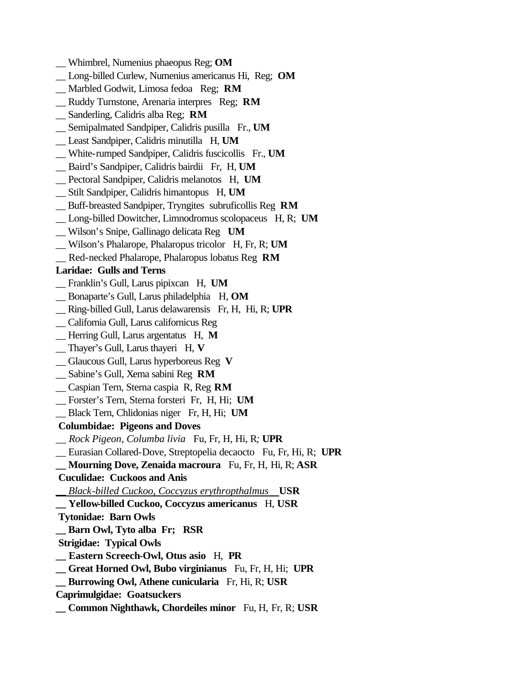- \_\_ Whimbrel, Numenius phaeopus Reg; **OM**
- \_\_ Long-billed Curlew, Numenius americanus Hi, Reg; **OM**
- \_\_ Marbled Godwit, Limosa fedoa Reg; **RM**
- \_\_ Ruddy Turnstone, Arenaria interpres Reg; **RM**
- \_\_ Sanderling, Calidris alba Reg; **RM**
- \_\_ Semipalmated Sandpiper, Calidris pusilla Fr., **UM**
- \_\_ Least Sandpiper, Calidris minutilla H, **UM**
- \_\_ White-rumped Sandpiper, Calidris fuscicollis Fr., **UM**
- \_\_ Baird's Sandpiper, Calidris bairdii Fr, H, **UM**
- \_\_ Pectoral Sandpiper, Calidris melanotos H, **UM**
- \_\_ Stilt Sandpiper, Calidris himantopus H, **UM**
- \_\_ Buff-breasted Sandpiper, Tryngites subruficollis Reg **RM**
- \_\_ Long-billed Dowitcher, Limnodromus scolopaceus H, R; **UM**
- \_\_ Wilson's Snipe, Gallinago delicata Reg **UM**
- \_\_ Wilson's Phalarope, Phalaropus tricolor H, Fr, R; **UM**
- \_\_ Red-necked Phalarope, Phalaropus lobatus Reg **RM**

#### **Laridae: Gulls and Terns**

- \_\_ Franklin's Gull, Larus pipixcan H, **UM**
- \_\_ Bonaparte's Gull, Larus philadelphia H, **OM**
- \_\_ Ring-billed Gull, Larus delawarensis Fr, H, Hi, R; **UPR**
- \_\_ California Gull, Larus californicus Reg
- \_\_ Herring Gull, Larus argentatus H, **M**
- \_\_ Thayer's Gull, Larus thayeri H, **V**
- \_\_ Glaucous Gull, Larus hyperboreus Reg **V**
- \_\_ Sabine's Gull, Xema sabini Reg **RM**
- \_\_ Caspian Tern, Sterna caspia R, Reg **RM**
- \_\_ Forster's Tern, Sterna forsteri Fr, H, Hi; **UM**
- \_\_ Black Tern, Chlidonias niger Fr, H, Hi; **UM**

#### **Columbidae: Pigeons and Doves**

- *\_\_ Rock Pigeon, Columba livia* Fu, Fr, H, Hi, R*;* **UPR**
- \_\_ Eurasian Collared-Dove, Streptopelia decaocto Fu, Fr, Hi, R; **UPR**
- **\_\_ Mourning Dove, Zenaida macroura** Fu, Fr, H, Hi, R; **ASR**
- **Cuculidae: Cuckoos and Anis**
- *\_\_ Black-billed Cuckoo, Coccyzus erythropthalmus* **USR**
- **\_\_ Yellow-billed Cuckoo, Coccyzus americanus** H, **USR**
- **Tytonidae: Barn Owls**
- **\_\_ Barn Owl, Tyto alba Fr; RSR**
- **Strigidae: Typical Owls**
- **\_\_ Eastern Screech-Owl, Otus asio** H, **PR**
- **\_\_ Great Horned Owl, Bubo virginianus** Fu, Fr, H, Hi; **UPR**
- **\_\_ Burrowing Owl, Athene cunicularia** Fr, Hi, R; **USR**
- **Caprimulgidae: Goatsuckers**
- **\_\_ Common Nighthawk, Chordeiles minor** Fu, H, Fr, R; **USR**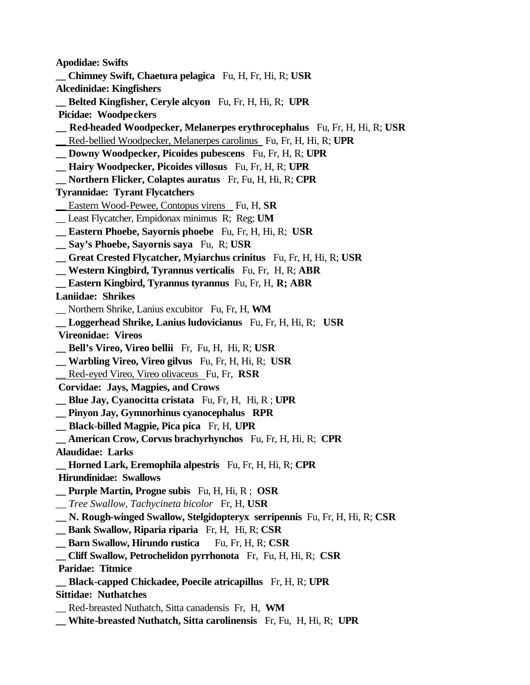**Apodidae: Swifts \_\_ Chimney Swift, Chaetura pelagica** Fu, H, Fr, Hi, R; **USR Alcedinidae: Kingfishers \_\_ Belted Kingfisher, Ceryle alcyon** Fu, Fr, H, Hi, R; **UPR Picidae: Woodpeckers \_\_ Red-headed Woodpecker, Melanerpes erythrocephalus** Fu, Fr, H, Hi, R; **USR** \_\_ Red-bellied Woodpecker, Melanerpes carolinus Fu, Fr, H, Hi, R; **UPR \_\_ Downy Woodpecker, Picoides pubescens** Fu, Fr, H, R; **UPR \_\_ Hairy Woodpecker, Picoides villosus** Fu, Fr, H, R; **UPR \_\_ Northern Flicker, Colaptes auratus** Fr, Fu, H, Hi, R; **CPR Tyrannidae: Tyrant Flycatchers** \_\_ Eastern Wood-Pewee, Contopus virens Fu, H, **SR** \_\_ Least Flycatcher, Empidonax minimus R; Reg; **UM \_\_ Eastern Phoebe, Sayornis phoebe** Fu, Fr, H, Hi, R; **USR \_\_ Say's Phoebe, Sayornis saya** Fu, R; **USR \_\_ Great Crested Flycatcher, Myiarchus crinitus** Fu, Fr, H, Hi, R; **USR \_\_ Western Kingbird, Tyrannus verticalis** Fu, Fr, H, R; **ABR \_\_ Eastern Kingbird, Tyrannus tyrannus** Fu, Fr, H, **R; ABR Laniidae: Shrikes** \_\_ Northern Shrike, Lanius excubitor Fu, Fr, H, **WM \_\_ Loggerhead Shrike, Lanius ludovicianus** Fu, Fr, H, Hi, R; **USR Vireonidae: Vireos \_\_ Bell's Vireo, Vireo bellii** Fr, Fu, H, Hi, R; **USR \_\_ Warbling Vireo, Vireo gilvus** Fu, Fr, H, Hi, R; **USR** \_\_ Red-eyed Vireo, Vireo olivaceus Fu, Fr, **RSR Corvidae: Jays, Magpies, and Crows \_\_ Blue Jay, Cyanocitta cristata** Fu, Fr, H,Hi, R ; **UPR \_\_ Pinyon Jay, Gymnorhinus cyanocephalus RPR \_\_ Black-billed Magpie, Pica pica** Fr, H, **UPR \_\_ American Crow, Corvus brachyrhynchos** Fu, Fr, H, Hi, R; **CPR Alaudidae: Larks \_\_ Horned Lark, Eremophila alpestris** Fu, Fr, H, Hi, R; **CPR Hirundinidae: Swallows \_\_ Purple Martin, Progne subis** Fu, H, Hi, R ; **OSR** \_\_ *Tree Swallow, Tachycineta bicolor* Fr, H, **USR \_\_ N. Rough-winged Swallow, Stelgidopteryx serripennis** Fu, Fr, H, Hi, R; **CSR \_\_ Bank Swallow, Riparia riparia** Fr, H,Hi, R; **CSR Barn Swallow, Hirundo rustica** Fu, Fr, H, R; **CSR \_\_ Cliff Swallow, Petrochelidon pyrrhonota** Fr, Fu, H, Hi, R; **CSR Paridae: Titmice \_\_ Black-capped Chickadee, Poecile atricapillus** Fr, H, R; **UPR Sittidae: Nuthatches** \_\_ Red-breasted Nuthatch, Sitta canadensis Fr, H, **WM \_\_ White-breasted Nuthatch, Sitta carolinensis** Fr, Fu, H, Hi, R; **UPR**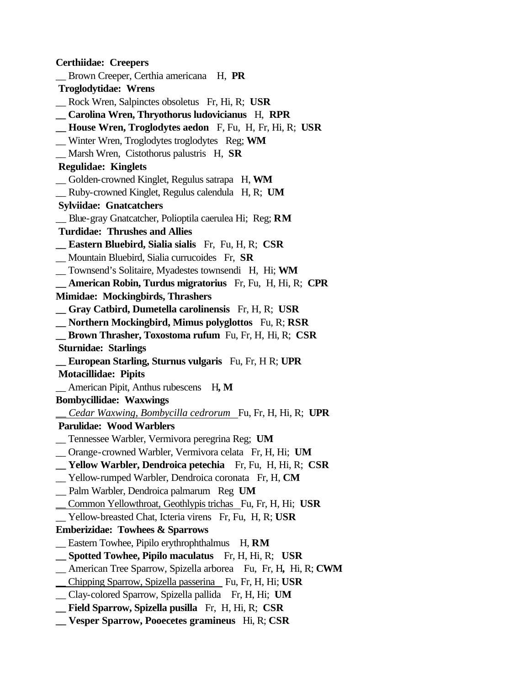**Certhiidae: Creepers** \_\_ Brown Creeper, Certhia americana H, **PR Troglodytidae: Wrens** \_\_ Rock Wren, Salpinctes obsoletus Fr, Hi, R; **USR \_\_ Carolina Wren, Thryothorus ludovicianus** H, **RPR \_\_ House Wren, Troglodytes aedon** F, Fu, H, Fr, Hi, R; **USR** \_\_ Winter Wren, Troglodytes troglodytes Reg; **WM** \_\_ Marsh Wren, Cistothorus palustris H, **SR Regulidae: Kinglets** \_\_ Golden-crowned Kinglet, Regulus satrapa H, **WM** \_\_ Ruby-crowned Kinglet, Regulus calendula H, R; **UM Sylviidae: Gnatcatchers** \_\_ Blue-gray Gnatcatcher, Polioptila caerulea Hi; Reg; **RM Turdidae: Thrushes and Allies \_\_ Eastern Bluebird, Sialia sialis** Fr, Fu, H, R; **CSR** \_\_ Mountain Bluebird, Sialia currucoides Fr, **SR** \_\_ Townsend's Solitaire, Myadestes townsendi H, Hi; **WM \_\_ American Robin, Turdus migratorius** Fr, Fu, H, Hi, R; **CPR Mimidae: Mockingbirds, Thrashers \_\_ Gray Catbird, Dumetella carolinensis** Fr, H, R; **USR \_\_ Northern Mockingbird, Mimus polyglottos** Fu, R; **RSR \_\_ Brown Thrasher, Toxostoma rufum** Fu, Fr, H, Hi, R; **CSR Sturnidae: Starlings \_\_ European Starling, Sturnus vulgaris** Fu, Fr, H R; **UPR Motacillidae: Pipits** American Pipit, Anthus rubescens H, M **Bombycillidae: Waxwings** *\_\_ Cedar Waxwing, Bombycilla cedrorum* Fu, Fr, H, Hi, R;**UPR Parulidae: Wood Warblers** \_\_ Tennessee Warbler, Vermivora peregrina Reg; **UM** \_\_ Orange-crowned Warbler, Vermivora celata Fr, H, Hi; **UM \_\_ Yellow Warbler, Dendroica petechia** Fr, Fu, H, Hi, R; **CSR** \_\_ Yellow-rumped Warbler, Dendroica coronata Fr, H, **CM** \_\_ Palm Warbler, Dendroica palmarum Reg **UM** \_\_ Common Yellowthroat*,* Geothlypis trichas Fu, Fr, H, Hi; **USR** \_\_ Yellow-breasted Chat, Icteria virens Fr, Fu, H, R; **USR Emberizidae: Towhees & Sparrows** Eastern Towhee, Pipilo erythrophthalmus H, **RM \_\_ Spotted Towhee, Pipilo maculatus** Fr, H, Hi, R; **USR** \_\_ American Tree Sparrow, Spizella arborea Fu, Fr, H**,** Hi, R; **CWM** \_\_ Chipping Sparrow, Spizella passerina Fu, Fr, H, Hi; **USR** \_\_ Clay-colored Sparrow, Spizella pallida Fr, H, Hi; **UM \_\_ Field Sparrow, Spizella pusilla** Fr, H, Hi, R; **CSR \_\_ Vesper Sparrow, Pooecetes gramineus** Hi, R; **CSR**